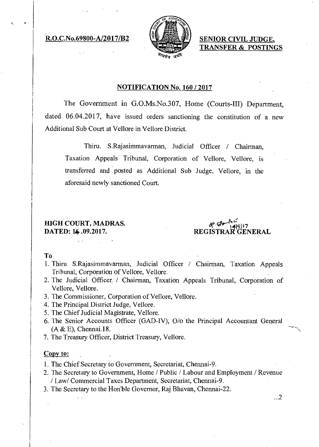R.O.C.No.69800-A/2017/B2 SENIOR CIVIL JUDGE,



TRANSFER & POSTINGS

## NOTIFICATION No. 160 / 2017

The Government in G.O.Ms.No.307, Home (Courts-III) Department, dated 06.04.2017, have issued orders sanctioning the constitution of a new Additional Sub Court at Vellore in Vellore District.

Thiru. S.Rajasimmavarman, Judicial Officer / Chairman, Taxation Appeals Tribunal, Corporation of Vellore, Vellore, is transferred and posted as Additional Sub Judge, Vellore, in the aforesaid newly sanctioned Court.

## HIGH COURT, MADRAS. DATED: 14 .09.2017.

 $\mathcal{L}^{\pm}(\mathcal{A})$ 

I.  $8 - \frac{77}{14917}$ **REGIST**RAR GENERAL

## To

- I. Thiru S.Rajasimmavarman, Judicial Officer / Chairman, Taxation Appeals Tribunal, Corporation of Vellore, Vellore.
- 2. The Judicial Officer / Chairman, Taxation Appeals Tribunal, Corporation of Vellore, Vellore.
- 3. The Commissioner, Corporation of Vellore, Vellore.
- 4. The Principal District Judge, Vellore.
- 5. The Chief Judicial Magistrate, Vellore.
- 6. The Senior Accounts Officer (GAD-IV), 0/o the Principal Accountant General (A & E), Chennai.18.
- 7. The Treasury Officer, District Treasury, Vellore.

## Copy to:

- 1. The Chief Secretary to Government, Secretariat, Chennai-9.
- 2. The Secretary to Government, Home / Public / Labour and Employment / Revenue / Law/ Commercial Taxes Department, Secretariat, Chennai-9.
- 3. The Secretary to the Hon'ble Governor, Raj Bhavan, Chennai-22.

...2